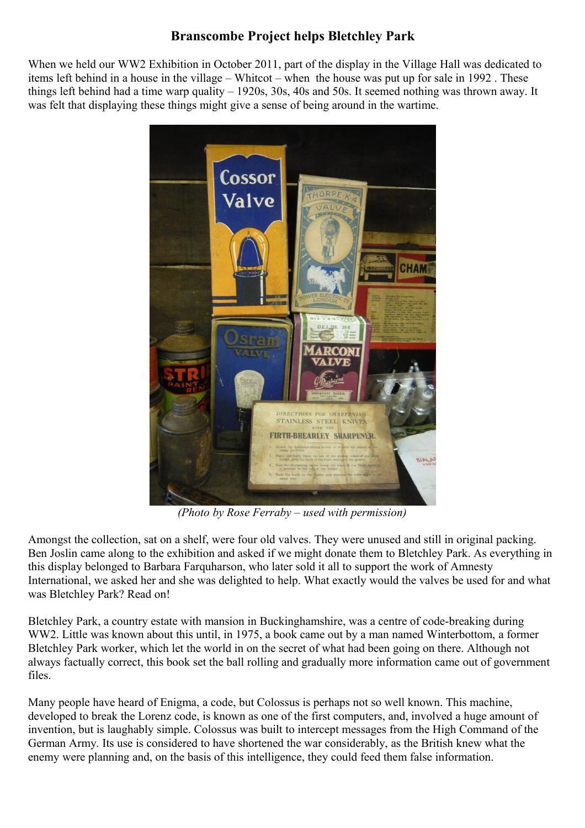## **Branscombe Project helps Bletchley Park**

When we held our WW2 Exhibition in October 2011, part of the display in the Village Hall was dedicated to items left behind in a house in the village – Whitcot – when the house was put up for sale in 1992 . These things left behind had a time warp quality – 1920s, 30s, 40s and 50s. It seemed nothing was thrown away. It was felt that displaying these things might give a sense of being around in the wartime.



*(Photo by Rose Ferraby – used with permission)*

Amongst the collection, sat on a shelf, were four old valves. They were unused and still in original packing. Ben Joslin came along to the exhibition and asked if we might donate them to Bletchley Park. As everything in this display belonged to Barbara Farquharson, who later sold it all to support the work of Amnesty International, we asked her and she was delighted to help. What exactly would the valves be used for and what was Bletchley Park? Read on!

Bletchley Park, a country estate with mansion in Buckinghamshire, was a centre of code-breaking during WW2. Little was known about this until, in 1975, a book came out by a man named Winterbottom, a former Bletchley Park worker, which let the world in on the secret of what had been going on there. Although not always factually correct, this book set the ball rolling and gradually more information came out of government files.

Many people have heard of Enigma, a code, but Colossus is perhaps not so well known. This machine, developed to break the Lorenz code, is known as one of the first computers, and, involved a huge amount of invention, but is laughably simple. Colossus was built to intercept messages from the High Command of the German Army. Its use is considered to have shortened the war considerably, as the British knew what the enemy were planning and, on the basis of this intelligence, they could feed them false information.